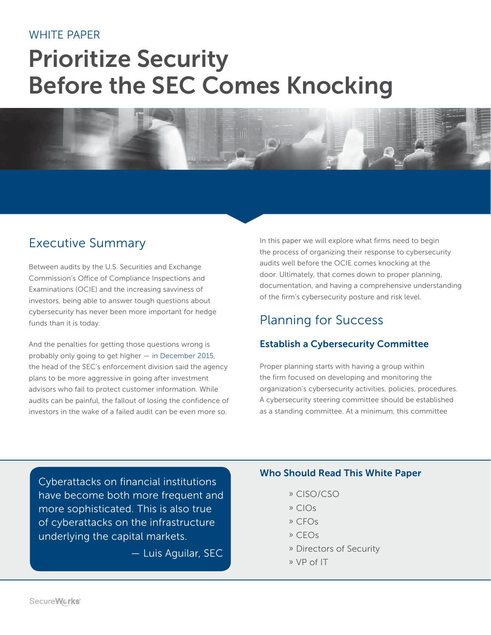#### WHITE PAPER

# **Prioritize Security Before the SEC Comes Knocking**



### Executive Summary

Between audits by the U.S. Securities and Exchange Commission's Office of Compliance Inspections and Examinations (OCIE) and the increasing savviness of investors, being able to answer tough questions about cybersecurity has never been more important for hedge funds than it is today.

And the penalties for getting those questions wrong is probably only going to get higher — [in December](http://www.foxbusiness.com/politics/2015/12/10/official-sec-targets-investment-advisers-for-weak-cybersecurity.html) 2015, the head of the SEC's enforcement division said the agency plans to be more aggressive in going after investment advisors who fail to protect customer information. While audits can be painful, the fallout of losing the confidence of investors in the wake of a failed audit can be even more so.

In this paper we will explore what firms need to begin the process of organizing their response to cybersecurity audits well before the OCIE comes knocking at the door. Ultimately, that comes down to proper planning, documentation, and having a comprehensive understanding of the firm's cybersecurity posture and risk level.

## Planning for Success

#### **Establish a Cybersecurity Committee**

Proper planning starts with having a group within the firm focused on developing and monitoring the organization's cybersecurity activities, policies, procedures. A cybersecurity steering committee should be established as a standing committee. At a minimum, this committee

Cyberattacks on financial institutions have become both more frequent and more sophisticated. This is also true of cyberattacks on the infrastructure underlying the capital markets.

— Luis Aguilar, SEC

#### **Who Should Read This White Paper**

- » CISO/CSO
- » CIOs
- » CFOs
- » CEOs
- » Directors of Security
- » VP of IT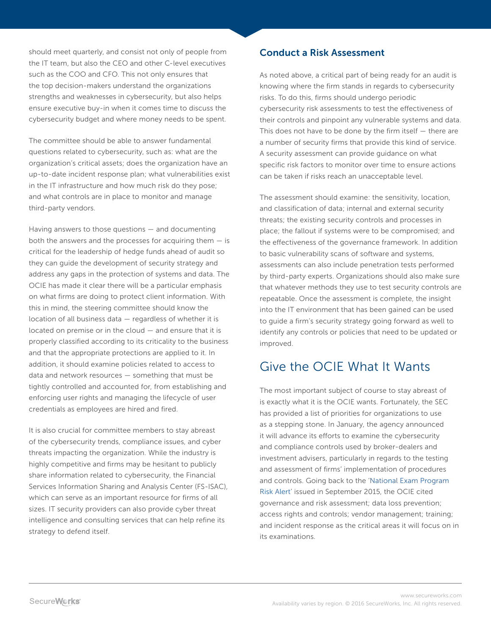should meet quarterly, and consist not only of people from the IT team, but also the CEO and other C-level executives such as the COO and CFO. This not only ensures that the top decision-makers understand the organizations strengths and weaknesses in cybersecurity, but also helps ensure executive buy-in when it comes time to discuss the cybersecurity budget and where money needs to be spent.

The committee should be able to answer fundamental questions related to cybersecurity, such as: what are the organization's critical assets; does the organization have an up-to-date incident response plan; what vulnerabilities exist in the IT infrastructure and how much risk do they pose; and what controls are in place to monitor and manage third-party vendors.

Having answers to those questions — and documenting both the answers and the processes for acquiring them  $-$  is critical for the leadership of hedge funds ahead of audit so they can guide the development of security strategy and address any gaps in the protection of systems and data. The OCIE has made it clear there will be a particular emphasis on what firms are doing to protect client information. With this in mind, the steering committee should know the location of all business data — regardless of whether it is located on premise or in the cloud — and ensure that it is properly classified according to its criticality to the business and that the appropriate protections are applied to it. In addition, it should examine policies related to access to data and network resources — something that must be tightly controlled and accounted for, from establishing and enforcing user rights and managing the lifecycle of user credentials as employees are hired and fired.

It is also crucial for committee members to stay abreast of the cybersecurity trends, compliance issues, and cyber threats impacting the organization. While the industry is highly competitive and firms may be hesitant to publicly share information related to cybersecurity, the Financial Services Information Sharing and Analysis Center (FS-ISAC), which can serve as an important resource for firms of all sizes. IT security providers can also provide cyber threat intelligence and consulting services that can help refine its strategy to defend itself.

#### **Conduct a Risk Assessment**

As noted above, a critical part of being ready for an audit is knowing where the firm stands in regards to cybersecurity risks. To do this, firms should undergo periodic cybersecurity risk assessments to test the effectiveness of their controls and pinpoint any vulnerable systems and data. This does not have to be done by the firm itself  $-$  there are a number of security firms that provide this kind of service. A security assessment can provide guidance on what specific risk factors to monitor over time to ensure actions can be taken if risks reach an unacceptable level.

The assessment should examine: the sensitivity, location, and classification of data; internal and external security threats; the existing security controls and processes in place; the fallout if systems were to be compromised; and the effectiveness of the governance framework. In addition to basic vulnerability scans of software and systems, assessments can also include penetration tests performed by third-party experts. Organizations should also make sure that whatever methods they use to test security controls are repeatable. Once the assessment is complete, the insight into the IT environment that has been gained can be used to guide a firm's security strategy going forward as well to identify any controls or policies that need to be updated or improved.

## Give the OCIE What It Wants

The most important subject of course to stay abreast of is exactly what it is the OCIE wants. Fortunately, the SEC has provided a list of priorities for organizations to use as a stepping stone. In January, the agency announced it will advance its efforts to examine the cybersecurity and compliance controls used by broker-dealers and investment advisers, particularly in regards to the testing and assessment of firms' implementation of procedures and controls. Going back to the ['National Exam Program](https://www.sec.gov/ocie/announcement/ocie-2015-cybersecurity-examination-initiative.pdf)  [Risk Alert'](https://www.sec.gov/ocie/announcement/ocie-2015-cybersecurity-examination-initiative.pdf) issued in September 2015, the OCIE cited governance and risk assessment; data loss prevention; access rights and controls; vendor management; training; and incident response as the critical areas it will focus on in its examinations.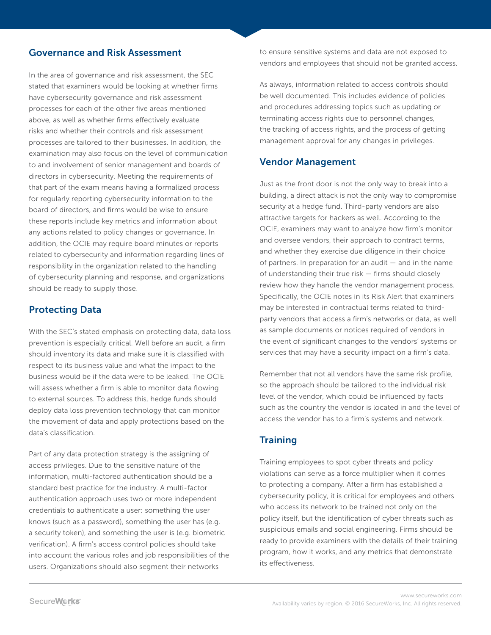#### **Governance and Risk Assessment**

In the area of governance and risk assessment, the SEC stated that examiners would be looking at whether firms have cybersecurity governance and risk assessment processes for each of the other five areas mentioned above, as well as whether firms effectively evaluate risks and whether their controls and risk assessment processes are tailored to their businesses. In addition, the examination may also focus on the level of communication to and involvement of senior management and boards of directors in cybersecurity. Meeting the requirements of that part of the exam means having a formalized process for regularly reporting cybersecurity information to the board of directors, and firms would be wise to ensure these reports include key metrics and information about any actions related to policy changes or governance. In addition, the OCIE may require board minutes or reports related to cybersecurity and information regarding lines of responsibility in the organization related to the handling of cybersecurity planning and response, and organizations should be ready to supply those.

#### **Protecting Data**

With the SEC's stated emphasis on protecting data, data loss prevention is especially critical. Well before an audit, a firm should inventory its data and make sure it is classified with respect to its business value and what the impact to the business would be if the data were to be leaked. The OCIE will assess whether a firm is able to monitor data flowing to external sources. To address this, hedge funds should deploy data loss prevention technology that can monitor the movement of data and apply protections based on the data's classification.

Part of any data protection strategy is the assigning of access privileges. Due to the sensitive nature of the information, multi-factored authentication should be a standard best practice for the industry. A multi-factor authentication approach uses two or more independent credentials to authenticate a user: something the user knows (such as a password), something the user has (e.g. a security token), and something the user is (e.g. biometric verification). A firm's access control policies should take into account the various roles and job responsibilities of the users. Organizations should also segment their networks

to ensure sensitive systems and data are not exposed to vendors and employees that should not be granted access.

As always, information related to access controls should be well documented. This includes evidence of policies and procedures addressing topics such as updating or terminating access rights due to personnel changes, the tracking of access rights, and the process of getting management approval for any changes in privileges.

#### **Vendor Management**

Just as the front door is not the only way to break into a building, a direct attack is not the only way to compromise security at a hedge fund. Third-party vendors are also attractive targets for hackers as well. According to the OCIE, examiners may want to analyze how firm's monitor and oversee vendors, their approach to contract terms, and whether they exercise due diligence in their choice of partners. In preparation for an audit — and in the name of understanding their true risk — firms should closely review how they handle the vendor management process. Specifically, the OCIE notes in its Risk Alert that examiners may be interested in contractual terms related to thirdparty vendors that access a firm's networks or data, as well as sample documents or notices required of vendors in the event of significant changes to the vendors' systems or services that may have a security impact on a firm's data.

Remember that not all vendors have the same risk profile, so the approach should be tailored to the individual risk level of the vendor, which could be influenced by facts such as the country the vendor is located in and the level of access the vendor has to a firm's systems and network.

#### **Training**

Training employees to spot cyber threats and policy violations can serve as a force multiplier when it comes to protecting a company. After a firm has established a cybersecurity policy, it is critical for employees and others who access its network to be trained not only on the policy itself, but the identification of cyber threats such as suspicious emails and social engineering. Firms should be ready to provide examiners with the details of their training program, how it works, and any metrics that demonstrate its effectiveness.